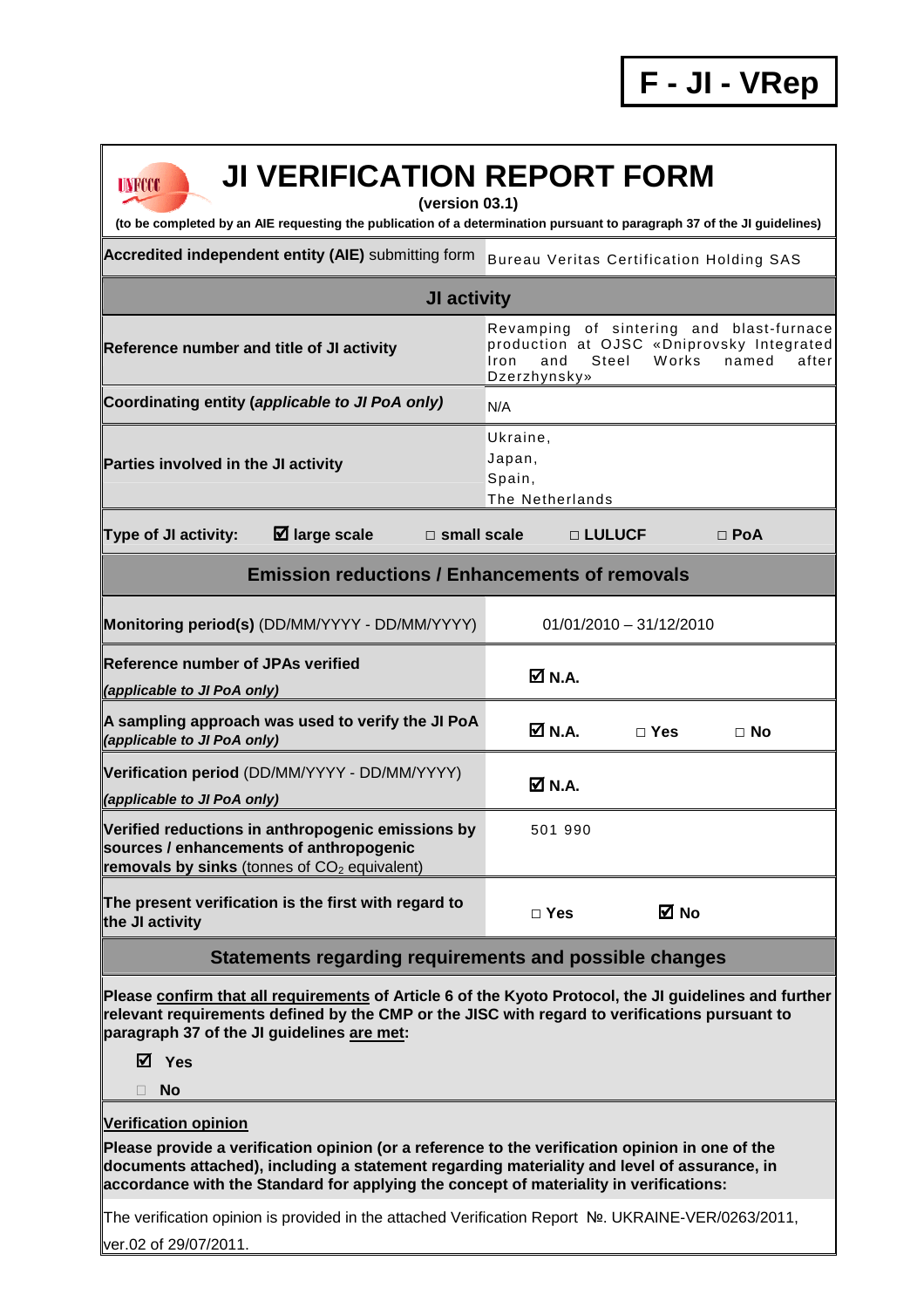## **UNFCCC**

## **JI VERIFICATION REPORT FORM**

**(version 03.1)** 

**(to be completed by an AIE requesting the publication of a determination pursuant to paragraph 37 of the JI guidelines)** 

Accredited independent entity (AIE) submitting form Bureau Veritas Certification Holding SAS

## **JI activity Reference number and title of JI activity** Revamping of sintering and blast-furnace production at OJSC «Dniprovsky Integrated Iron and Steel W orks named after Dzerzhynsky» Coordinating entity (*applicable to JI PoA only*) N/A **Parties involved in the JI activity**  Ukraine, Japan, Spain, The Netherlands **Type of JI activity: large scale □ small scale □ LULUCF □ PoA Emission reductions / Enhancements of removals**

| Monitoring period(s) (DD/MM/YYYY - DD/MM/YYYY)                                                                                                 |                              | $01/01/2010 - 31/12/2010$ |           |  |
|------------------------------------------------------------------------------------------------------------------------------------------------|------------------------------|---------------------------|-----------|--|
| <b>Reference number of JPAs verified</b><br>(applicable to JI PoA only)                                                                        | $\overline{\mathsf{M}}$ N.A. |                           |           |  |
| A sampling approach was used to verify the JI PoA<br>(applicable to JI PoA only)                                                               | $\overline{M}$ N.A.          | $\sqcap$ Yes              | $\Box$ No |  |
| Verification period (DD/MM/YYYY - DD/MM/YYYY)<br>(applicable to JI PoA only)                                                                   | <b>☑</b> N.A.                |                           |           |  |
| Verified reductions in anthropogenic emissions by<br>sources / enhancements of anthropogenic<br>removals by sinks (tonnes of $CO2$ equivalent) | 501 990                      |                           |           |  |
| The present verification is the first with regard to<br>the JI activity                                                                        | $\sqcap$ Yes                 | ⊠ No                      |           |  |

**Statements regarding requirements and possible changes** 

**Please confirm that all requirements of Article 6 of the Kyoto Protocol, the JI guidelines and further relevant requirements defined by the CMP or the JISC with regard to verifications pursuant to paragraph 37 of the JI guidelines are met:** 

**Yes** 

**No** 

## **Verification opinion**

**Please provide a verification opinion (or a reference to the verification opinion in one of the documents attached), including a statement regarding materiality and level of assurance, in accordance with the Standard for applying the concept of materiality in verifications:** 

The verification opinion is provided in the attached Verification Report №. UKRAINE-VER/0263/2011, ver.02 of 29/07/2011.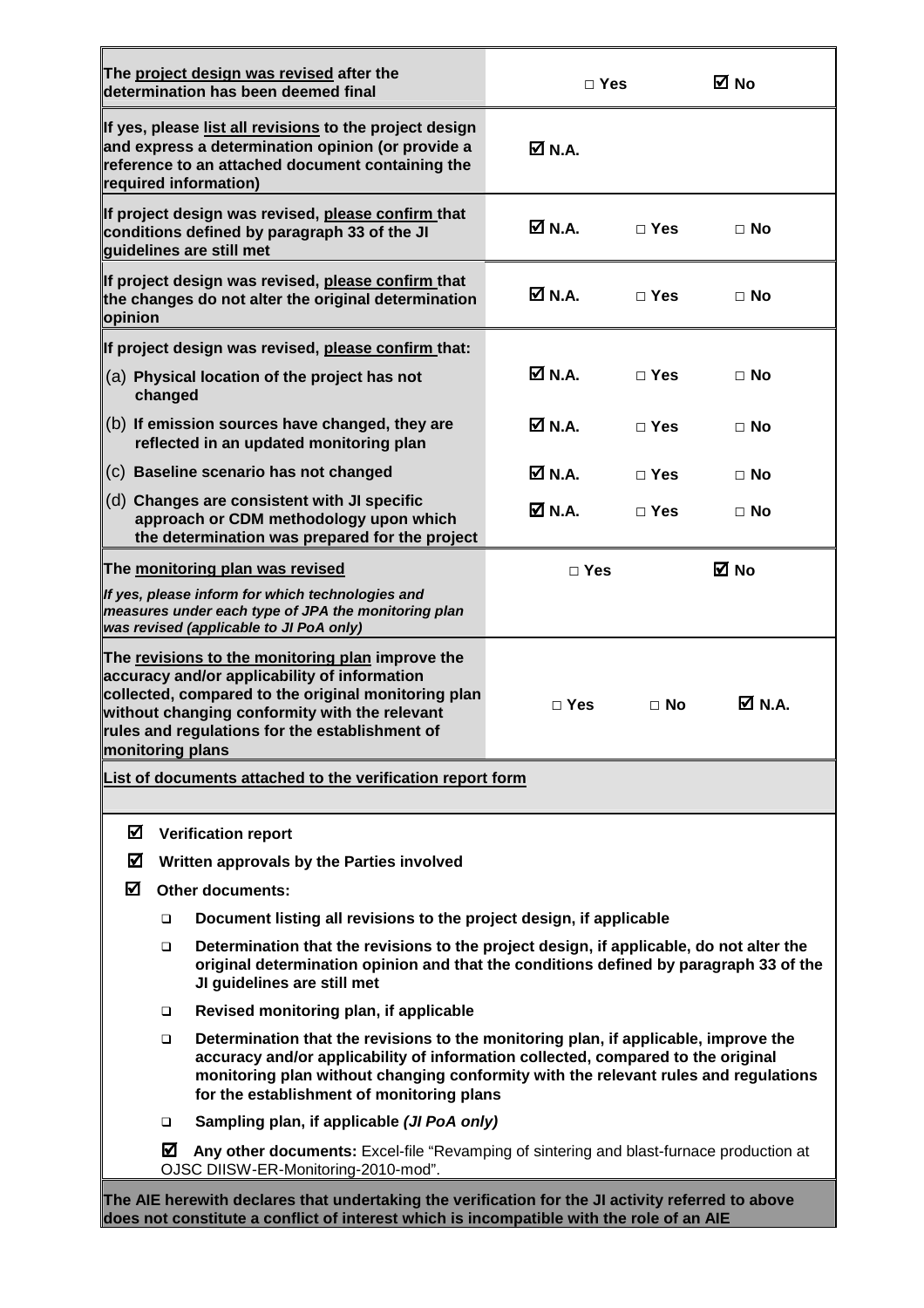|                  |         | The project design was revised after the<br>determination has been deemed final                                                                                                                                                                                                                             | $\Box$ Yes       |            | M No             |
|------------------|---------|-------------------------------------------------------------------------------------------------------------------------------------------------------------------------------------------------------------------------------------------------------------------------------------------------------------|------------------|------------|------------------|
|                  |         | If yes, please list all revisions to the project design<br>and express a determination opinion (or provide a<br>reference to an attached document containing the<br>required information)                                                                                                                   | ØN.A.            |            |                  |
|                  |         | If project design was revised, please confirm that<br>conditions defined by paragraph 33 of the JI<br>guidelines are still met                                                                                                                                                                              | $\boxtimes$ N.A. | $\Box$ Yes | $\Box$ No        |
| opinion          |         | If project design was revised, please confirm that<br>the changes do not alter the original determination                                                                                                                                                                                                   | <b>Ø</b> N.A.    | $\Box$ Yes | $\Box$ No        |
|                  |         | If project design was revised, please confirm that:                                                                                                                                                                                                                                                         |                  |            |                  |
|                  | changed | (a) Physical location of the project has not                                                                                                                                                                                                                                                                | <b>Ø</b> N.A.    | $\Box$ Yes | $\Box$ No        |
|                  |         | (b) If emission sources have changed, they are<br>reflected in an updated monitoring plan                                                                                                                                                                                                                   | Ø N.A.           | $\Box$ Yes | $\Box$ No        |
|                  |         | (c) Baseline scenario has not changed                                                                                                                                                                                                                                                                       | Ø N.A.           | $\Box$ Yes | $\Box$ No        |
|                  |         | (d) Changes are consistent with JI specific<br>approach or CDM methodology upon which<br>the determination was prepared for the project                                                                                                                                                                     | M N.A.           | $\Box$ Yes | $\Box$ No        |
|                  |         | The monitoring plan was revised                                                                                                                                                                                                                                                                             | $\Box$ Yes       |            | <b>⊠</b> No      |
|                  |         | If yes, please inform for which technologies and<br>measures under each type of JPA the monitoring plan<br>was revised (applicable to JI PoA only)                                                                                                                                                          |                  |            |                  |
| monitoring plans |         | The revisions to the monitoring plan improve the<br>accuracy and/or applicability of information<br>collected, compared to the original monitoring plan<br>without changing conformity with the relevant<br>rules and regulations for the establishment of                                                  | $\Box$ Yes       | $\Box$ No  | $\boxtimes$ N.A. |
|                  |         | List of documents attached to the verification report form                                                                                                                                                                                                                                                  |                  |            |                  |
| ☑                |         | <b>Verification report</b>                                                                                                                                                                                                                                                                                  |                  |            |                  |
| ☑                |         | Written approvals by the Parties involved                                                                                                                                                                                                                                                                   |                  |            |                  |
| ☑                |         | <b>Other documents:</b>                                                                                                                                                                                                                                                                                     |                  |            |                  |
|                  | □       | Document listing all revisions to the project design, if applicable                                                                                                                                                                                                                                         |                  |            |                  |
|                  | □       | Determination that the revisions to the project design, if applicable, do not alter the<br>original determination opinion and that the conditions defined by paragraph 33 of the<br>JI guidelines are still met                                                                                             |                  |            |                  |
|                  | □       | Revised monitoring plan, if applicable                                                                                                                                                                                                                                                                      |                  |            |                  |
|                  | □       | Determination that the revisions to the monitoring plan, if applicable, improve the<br>accuracy and/or applicability of information collected, compared to the original<br>monitoring plan without changing conformity with the relevant rules and regulations<br>for the establishment of monitoring plans |                  |            |                  |
|                  | □       | Sampling plan, if applicable (JI PoA only)                                                                                                                                                                                                                                                                  |                  |            |                  |
|                  | ☑       | Any other documents: Excel-file "Revamping of sintering and blast-furnace production at<br>OJSC DIISW-ER-Monitoring-2010-mod".                                                                                                                                                                              |                  |            |                  |
|                  |         | The AIE herewith declares that undertaking the verification for the JI activity referred to above<br>does not constitute a conflict of interest which is incompatible with the role of an AIE                                                                                                               |                  |            |                  |

F